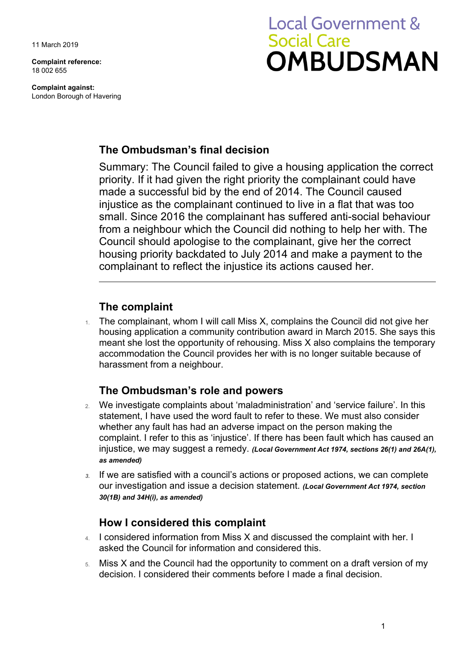11 March 2019

**Complaint reference:**  18 002 655

**Complaint against:**  London Borough of Havering

# **Local Government & Social Care OMBUDSMAN**

## **The Ombudsman's final decision**

 Summary: The Council failed to give a housing application the correct from a neighbour which the Council did nothing to help her with. The Council should apologise to the complainant, give her the correct priority. If it had given the right priority the complainant could have made a successful bid by the end of 2014. The Council caused injustice as the complainant continued to live in a flat that was too small. Since 2016 the complainant has suffered anti-social behaviour housing priority backdated to July 2014 and make a payment to the complainant to reflect the injustice its actions caused her.

## **The complaint**

 meant she lost the opportunity of rehousing. Miss X also complains the temporary 1. The complainant, whom I will call Miss X, complains the Council did not give her housing application a community contribution award in March 2015. She says this accommodation the Council provides her with is no longer suitable because of harassment from a neighbour.

## **The Ombudsman's role and powers**

- 2. We investigate complaints about 'maladministration' and 'service failure'. In this statement, I have used the word fault to refer to these. We must also consider whether any fault has had an adverse impact on the person making the complaint. I refer to this as 'injustice'. If there has been fault which has caused an injustice, we may suggest a remedy. *(Local Government Act 1974, sections 26(1) and 26A(1), as amended)*
- our investigation and issue a decision statement. *(Local Government Act 1974, section 3.* If we are satisfied with a council's actions or proposed actions, we can complete *30(1B) and 34H(i), as amended)*

## **How I considered this complaint**

- 4. I considered information from Miss X and discussed the complaint with her. I asked the Council for information and considered this.
- 5. Miss X and the Council had the opportunity to comment on a draft version of my decision. I considered their comments before I made a final decision.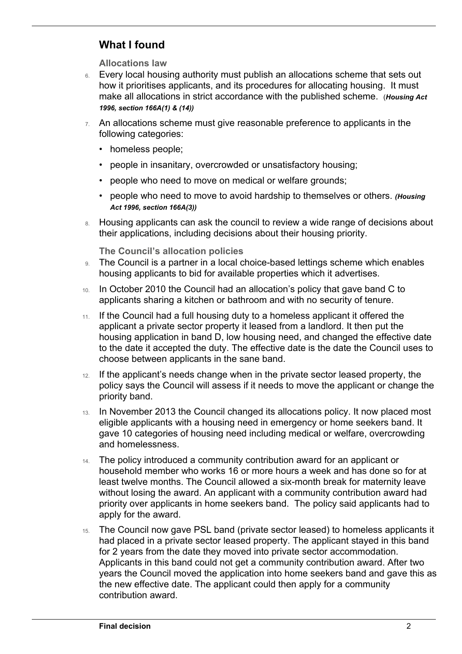# **What I found**

 $\overline{a}$ 

**Allocations law** 

- 6. Every local housing authority must publish an allocations scheme that sets out how it prioritises applicants, and its procedures for allocating housing. It must make all allocations in strict accordance with the published scheme. (*Housing Act 1996, section 166A(1) & (14))*
- 7. An allocations scheme must give reasonable preference to applicants in the following categories:
	- homeless people;
	- people in insanitary, overcrowded or unsatisfactory housing;
	- people who need to move on medical or welfare grounds;
	- people who need to move to avoid hardship to themselves or others. *(Housing Act 1996, section 166A(3))*
- 8. Housing applicants can ask the council to review a wide range of decisions about their applications, including decisions about their housing priority.

**The Council's allocation policies** 

- 9. The Council is a partner in a local choice-based lettings scheme which enables housing applicants to bid for available properties which it advertises.
- 10. In October 2010 the Council had an allocation's policy that gave band C to applicants sharing a kitchen or bathroom and with no security of tenure.
- 11. If the Council had a full housing duty to a homeless applicant it offered the applicant a private sector property it leased from a landlord. It then put the housing application in band D, low housing need, and changed the effective date to the date it accepted the duty. The effective date is the date the Council uses to choose between applicants in the sane band.
- policy says the Council will assess if it needs to move the applicant or change the 12. If the applicant's needs change when in the private sector leased property, the priority band.
- 13. In November 2013 the Council changed its allocations policy. It now placed most eligible applicants with a housing need in emergency or home seekers band. It gave 10 categories of housing need including medical or welfare, overcrowding and homelessness.
- 14. The policy introduced a community contribution award for an applicant or household member who works 16 or more hours a week and has done so for at least twelve months. The Council allowed a six-month break for maternity leave without losing the award. An applicant with a community contribution award had priority over applicants in home seekers band. The policy said applicants had to apply for the award.
- had placed in a private sector leased property. The applicant stayed in this band years the Council moved the application into home seekers band and gave this as 15. The Council now gave PSL band (private sector leased) to homeless applicants it for 2 years from the date they moved into private sector accommodation. Applicants in this band could not get a community contribution award. After two the new effective date. The applicant could then apply for a community contribution award.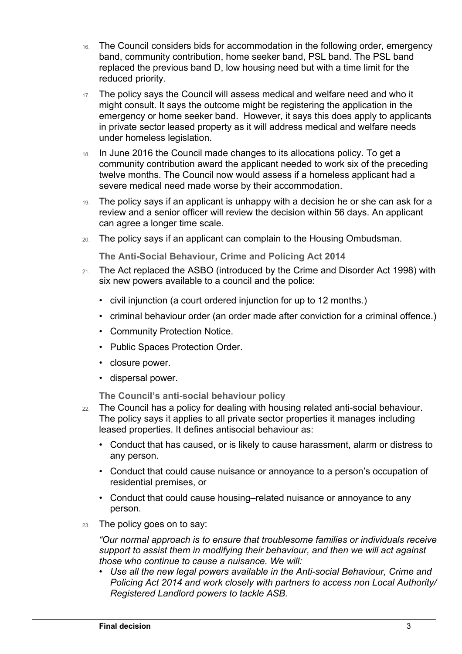- 16. The Council considers bids for accommodation in the following order, emergency band, community contribution, home seeker band, PSL band. The PSL band replaced the previous band D, low housing need but with a time limit for the reduced priority.
- might consult. It says the outcome might be registering the application in the 17. The policy says the Council will assess medical and welfare need and who it emergency or home seeker band. However, it says this does apply to applicants in private sector leased property as it will address medical and welfare needs under homeless legislation.
- 18. In June 2016 the Council made changes to its allocations policy. To get a community contribution award the applicant needed to work six of the preceding twelve months. The Council now would assess if a homeless applicant had a severe medical need made worse by their accommodation.
- 19. The policy says if an applicant is unhappy with a decision he or she can ask for a review and a senior officer will review the decision within 56 days. An applicant can agree a longer time scale.
- 20. The policy says if an applicant can complain to the Housing Ombudsman.

**The Anti-Social Behaviour, Crime and Policing Act 2014** 

- 21. The Act replaced the ASBO (introduced by the Crime and Disorder Act 1998) with six new powers available to a council and the police:
	- civil injunction (a court ordered injunction for up to 12 months.)
	- criminal behaviour order (an order made after conviction for a criminal offence.)
	- Community Protection Notice.
	- Public Spaces Protection Order.
	- closure power.

 $\overline{a}$ 

• dispersal power.

**The Council's anti-social behaviour policy** 

- 22. The Council has a policy for dealing with housing related anti-social behaviour. The policy says it applies to all private sector properties it manages including leased properties. It defines antisocial behaviour as:
	- Conduct that has caused, or is likely to cause harassment, alarm or distress to any person.
	- Conduct that could cause nuisance or annoyance to a person's occupation of residential premises, or
	- Conduct that could cause housing–related nuisance or annoyance to any person.
- 23. The policy goes on to say:

*"Our normal approach is to ensure that troublesome families or individuals receive support to assist them in modifying their behaviour, and then we will act against those who continue to cause a nuisance. We will:* 

 • *Use all the new legal powers available in the Anti-social Behaviour, Crime and Policing Act 2014 and work closely with partners to access non Local Authority/ Registered Landlord powers to tackle ASB.*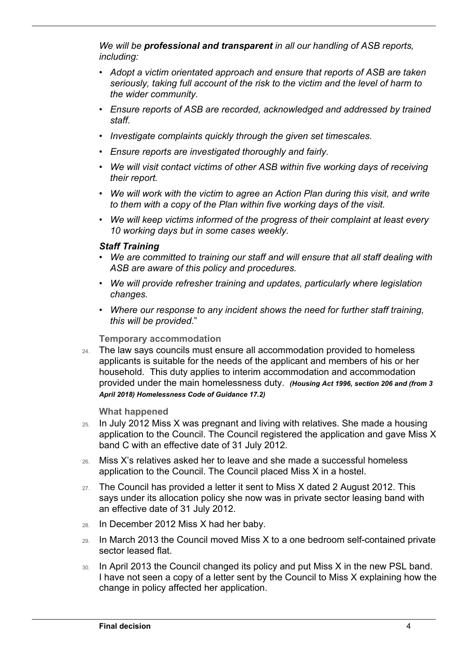*We will be professional and transparent in all our handling of ASB reports, including:* 

- *Adopt a victim orientated approach and ensure that reports of ASB are taken seriously, taking full account of the risk to the victim and the level of harm to the wider community.*
- *Ensure reports of ASB are recorded, acknowledged and addressed by trained staff.*
- *Investigate complaints quickly through the given set timescales.*
- *Ensure reports are investigated thoroughly and fairly.*
- *We will visit contact victims of other ASB within five working days of receiving their report.*
- *We will work with the victim to agree an Action Plan during this visit, and write to them with a copy of the Plan within five working days of the visit.*
- *We will keep victims informed of the progress of their complaint at least every 10 working days but in some cases weekly.*

#### *Staff Training*

 $\overline{a}$ 

- *We are committed to training our staff and will ensure that all staff dealing with ASB are aware of this policy and procedures.*
- *We will provide refresher training and updates, particularly where legislation changes.*
- *Where our response to any incident shows the need for further staff training, this will be provided*."

#### **Temporary accommodation**

24. The law says councils must ensure all accommodation provided to homeless applicants is suitable for the needs of the applicant and members of his or her household. This duty applies to interim accommodation and accommodation provided under the main homelessness duty. *(Housing Act 1996, section 206 and (from 3 April 2018) Homelessness Code of Guidance 17.2)* 

#### **What happened**

- band C with an effective date of 31 July 2012. 25. In July 2012 Miss X was pregnant and living with relatives. She made a housing application to the Council. The Council registered the application and gave Miss X
- 26. Miss X's relatives asked her to leave and she made a successful homeless application to the Council. The Council placed Miss X in a hostel.
- 27. The Council has provided a letter it sent to Miss X dated 2 August 2012. This says under its allocation policy she now was in private sector leasing band with an effective date of 31 July 2012.
- 28. In December 2012 Miss X had her baby.
- 29. In March 2013 the Council moved Miss X to a one bedroom self-contained private sector leased flat.
- 30. In April 2013 the Council changed its policy and put Miss X in the new PSL band. I have not seen a copy of a letter sent by the Council to Miss X explaining how the change in policy affected her application.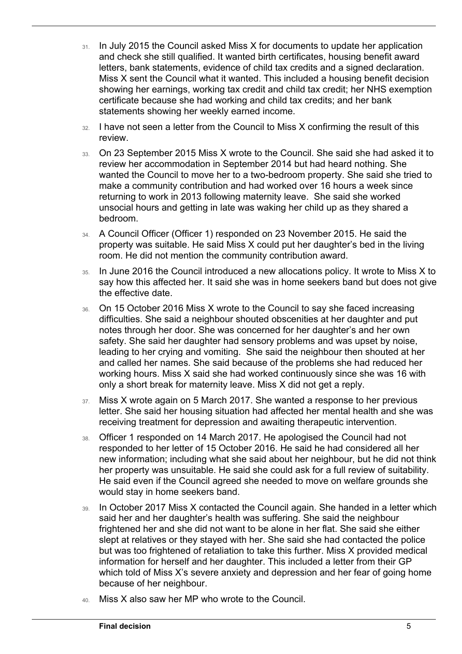- 31. In July 2015 the Council asked Miss X for documents to update her application and check she still qualified. It wanted birth certificates, housing benefit award letters, bank statements, evidence of child tax credits and a signed declaration. Miss X sent the Council what it wanted. This included a housing benefit decision showing her earnings, working tax credit and child tax credit; her NHS exemption certificate because she had working and child tax credits; and her bank statements showing her weekly earned income.
- 32. I have not seen a letter from the Council to Miss X confirming the result of this review.
- 33. On 23 September 2015 Miss X wrote to the Council. She said she had asked it to wanted the Council to move her to a two-bedroom property. She said she tried to review her accommodation in September 2014 but had heard nothing. She make a community contribution and had worked over 16 hours a week since returning to work in 2013 following maternity leave. She said she worked unsocial hours and getting in late was waking her child up as they shared a bedroom.
- 34. A Council Officer (Officer 1) responded on 23 November 2015. He said the property was suitable. He said Miss X could put her daughter's bed in the living room. He did not mention the community contribution award.
- 35. In June 2016 the Council introduced a new allocations policy. It wrote to Miss X to say how this affected her. It said she was in home seekers band but does not give the effective date.
- 36. On 15 October 2016 Miss X wrote to the Council to say she faced increasing difficulties. She said a neighbour shouted obscenities at her daughter and put notes through her door. She was concerned for her daughter's and her own safety. She said her daughter had sensory problems and was upset by noise, leading to her crying and vomiting. She said the neighbour then shouted at her and called her names. She said because of the problems she had reduced her working hours. Miss X said she had worked continuously since she was 16 with only a short break for maternity leave. Miss X did not get a reply.
- 37. Miss X wrote again on 5 March 2017. She wanted a response to her previous letter. She said her housing situation had affected her mental health and she was receiving treatment for depression and awaiting therapeutic intervention.
- 38. Officer 1 responded on 14 March 2017. He apologised the Council had not her property was unsuitable. He said she could ask for a full review of suitability. responded to her letter of 15 October 2016. He said he had considered all her new information; including what she said about her neighbour, but he did not think He said even if the Council agreed she needed to move on welfare grounds she would stay in home seekers band.
- 39. In October 2017 Miss X contacted the Council again. She handed in a letter which said her and her daughter's health was suffering. She said the neighbour frightened her and she did not want to be alone in her flat. She said she either slept at relatives or they stayed with her. She said she had contacted the police but was too frightened of retaliation to take this further. Miss X provided medical information for herself and her daughter. This included a letter from their GP which told of Miss X's severe anxiety and depression and her fear of going home because of her neighbour.
- 40. Miss X also saw her MP who wrote to the Council.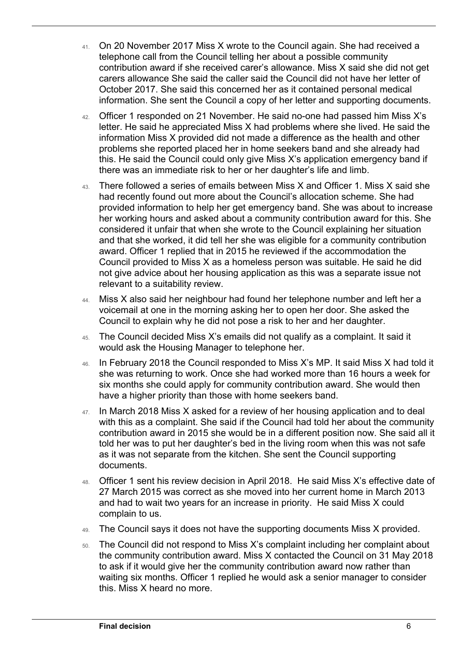- information. She sent the Council a copy of her letter and supporting documents. 41. On 20 November 2017 Miss X wrote to the Council again. She had received a telephone call from the Council telling her about a possible community contribution award if she received carer's allowance. Miss X said she did not get carers allowance She said the caller said the Council did not have her letter of October 2017. She said this concerned her as it contained personal medical
- $42.$  Officer 1 responded on 21 November. He said no-one had passed him Miss X's this. He said the Council could only give Miss X's application emergency band if letter. He said he appreciated Miss X had problems where she lived. He said the information Miss X provided did not made a difference as the health and other problems she reported placed her in home seekers band and she already had there was an immediate risk to her or her daughter's life and limb.
- her working hours and asked about a community contribution award for this. She and that she worked, it did tell her she was eligible for a community contribution 43. There followed a series of emails between Miss X and Officer 1. Miss X said she had recently found out more about the Council's allocation scheme. She had provided information to help her get emergency band. She was about to increase considered it unfair that when she wrote to the Council explaining her situation award. Officer 1 replied that in 2015 he reviewed if the accommodation the Council provided to Miss X as a homeless person was suitable. He said he did not give advice about her housing application as this was a separate issue not relevant to a suitability review.
- voicemail at one in the morning asking her to open her door. She asked the Council to explain why he did not pose a risk to her and her daughter. 44. Miss X also said her neighbour had found her telephone number and left her a
- 45. The Council decided Miss X's emails did not qualify as a complaint. It said it would ask the Housing Manager to telephone her.
- $46.$  In February 2018 the Council responded to Miss X's MP. It said Miss X had told it she was returning to work. Once she had worked more than 16 hours a week for six months she could apply for community contribution award. She would then have a higher priority than those with home seekers band.
- 47. In March 2018 Miss X asked for a review of her housing application and to deal told her was to put her daughter's bed in the living room when this was not safe with this as a complaint. She said if the Council had told her about the community contribution award in 2015 she would be in a different position now. She said all it as it was not separate from the kitchen. She sent the Council supporting documents.
- 48. Officer 1 sent his review decision in April 2018. He said Miss X's effective date of 27 March 2015 was correct as she moved into her current home in March 2013 and had to wait two years for an increase in priority. He said Miss X could complain to us.
- 49. The Council says it does not have the supporting documents Miss X provided.
- 50. The Council did not respond to Miss X's complaint including her complaint about waiting six months. Officer 1 replied he would ask a senior manager to consider the community contribution award. Miss X contacted the Council on 31 May 2018 to ask if it would give her the community contribution award now rather than this. Miss X heard no more.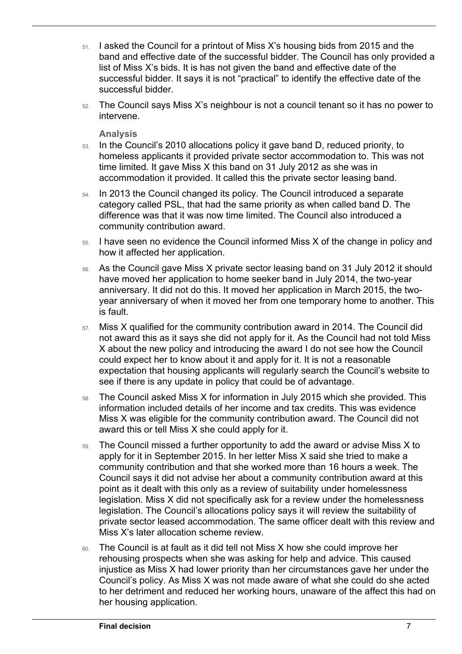- 51. I asked the Council for a printout of Miss X's housing bids from 2015 and the band and effective date of the successful bidder. The Council has only provided a list of Miss X's bids. It is has not given the band and effective date of the successful bidder. It says it is not "practical" to identify the effective date of the successful bidder.
- 52. The Council says Miss X's neighbour is not a council tenant so it has no power to intervene.

**Analysis** 

- 53. In the Council's 2010 allocations policy it gave band D, reduced priority, to homeless applicants it provided private sector accommodation to. This was not time limited. It gave Miss X this band on 31 July 2012 as she was in accommodation it provided. It called this the private sector leasing band.
- 54. In 2013 the Council changed its policy. The Council introduced a separate category called PSL, that had the same priority as when called band D. The difference was that it was now time limited. The Council also introduced a community contribution award.
- 55. I have seen no evidence the Council informed Miss X of the change in policy and how it affected her application.
- 56. As the Council gave Miss X private sector leasing band on 31 July 2012 it should have moved her application to home seeker band in July 2014, the two-year anniversary. It did not do this. It moved her application in March 2015, the twoyear anniversary of when it moved her from one temporary home to another. This is fault.
- 57. Miss X qualified for the community contribution award in 2014. The Council did not award this as it says she did not apply for it. As the Council had not told Miss X about the new policy and introducing the award I do not see how the Council could expect her to know about it and apply for it. It is not a reasonable expectation that housing applicants will regularly search the Council's website to see if there is any update in policy that could be of advantage.
- 58. The Council asked Miss X for information in July 2015 which she provided. This information included details of her income and tax credits. This was evidence Miss X was eligible for the community contribution award. The Council did not award this or tell Miss X she could apply for it.
- apply for it in September 2015. In her letter Miss X said she tried to make a community contribution and that she worked more than 16 hours a week. The legislation. The Council's allocations policy says it will review the suitability of 59. The Council missed a further opportunity to add the award or advise Miss X to Council says it did not advise her about a community contribution award at this point as it dealt with this only as a review of suitability under homelessness legislation. Miss X did not specifically ask for a review under the homelessness private sector leased accommodation. The same officer dealt with this review and Miss X's later allocation scheme review.
- 60. The Council is at fault as it did tell not Miss X how she could improve her rehousing prospects when she was asking for help and advice. This caused injustice as Miss X had lower priority than her circumstances gave her under the Council's policy. As Miss X was not made aware of what she could do she acted to her detriment and reduced her working hours, unaware of the affect this had on her housing application.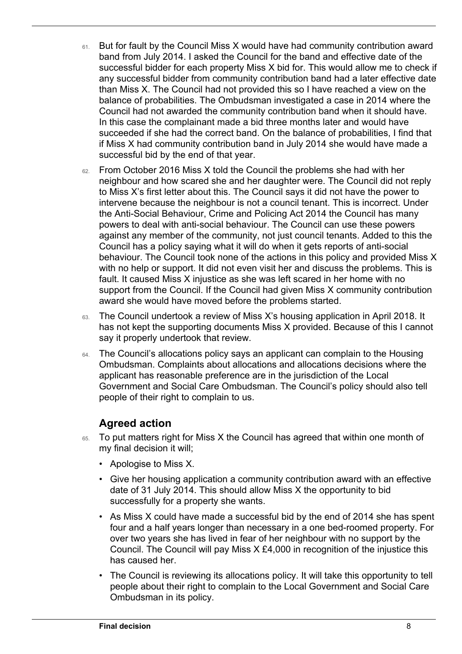- successful bidder for each property Miss X bid for. This would allow me to check if 61. But for fault by the Council Miss X would have had community contribution award band from July 2014. I asked the Council for the band and effective date of the any successful bidder from community contribution band had a later effective date than Miss X. The Council had not provided this so I have reached a view on the balance of probabilities. The Ombudsman investigated a case in 2014 where the Council had not awarded the community contribution band when it should have. In this case the complainant made a bid three months later and would have succeeded if she had the correct band. On the balance of probabilities, I find that if Miss X had community contribution band in July 2014 she would have made a successful bid by the end of that year.
- award she would have moved before the problems started. 62. From October 2016 Miss X told the Council the problems she had with her neighbour and how scared she and her daughter were. The Council did not reply to Miss X's first letter about this. The Council says it did not have the power to intervene because the neighbour is not a council tenant. This is incorrect. Under the Anti-Social Behaviour, Crime and Policing Act 2014 the Council has many powers to deal with anti-social behaviour. The Council can use these powers against any member of the community, not just council tenants. Added to this the Council has a policy saying what it will do when it gets reports of anti-social behaviour. The Council took none of the actions in this policy and provided Miss X with no help or support. It did not even visit her and discuss the problems. This is fault. It caused Miss X injustice as she was left scared in her home with no support from the Council. If the Council had given Miss X community contribution
- 63. The Council undertook a review of Miss X's housing application in April 2018. It has not kept the supporting documents Miss X provided. Because of this I cannot say it properly undertook that review.
- 64. The Council's allocations policy says an applicant can complain to the Housing Ombudsman. Complaints about allocations and allocations decisions where the applicant has reasonable preference are in the jurisdiction of the Local Government and Social Care Ombudsman. The Council's policy should also tell people of their right to complain to us.

## **Agreed action**

- 65. To put matters right for Miss X the Council has agreed that within one month of my final decision it will;
	- Apologise to Miss X.
	- • Give her housing application a community contribution award with an effective date of 31 July 2014. This should allow Miss X the opportunity to bid successfully for a property she wants.
	- over two years she has lived in fear of her neighbour with no support by the • As Miss X could have made a successful bid by the end of 2014 she has spent four and a half years longer than necessary in a one bed-roomed property. For Council. The Council will pay Miss X £4,000 in recognition of the injustice this has caused her.
	- The Council is reviewing its allocations policy. It will take this opportunity to tell people about their right to complain to the Local Government and Social Care Ombudsman in its policy.